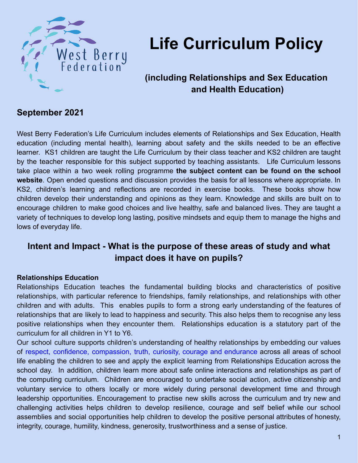

# **Life Curriculum Policy**

## **(including Relationships and Sex Education and Health Education)**

### **September 2021**

West Berry Federation's Life Curriculum includes elements of Relationships and Sex Education, Health education (including mental health), learning about safety and the skills needed to be an effective learner. KS1 children are taught the Life Curriculum by their class teacher and KS2 children are taught by the teacher responsible for this subject supported by teaching assistants. Life Curriculum lessons take place within a two week rolling programme **the subject content can be found on the school website**. Open ended questions and discussion provides the basis for all lessons where appropriate. In KS2, children's learning and reflections are recorded in exercise books. These books show how children develop their understanding and opinions as they learn. Knowledge and skills are built on to encourage children to make good choices and live healthy, safe and balanced lives. They are taught a variety of techniques to develop long lasting, positive mindsets and equip them to manage the highs and lows of everyday life.

## **Intent and Impact - What is the purpose of these areas of study and what impact does it have on pupils?**

#### **Relationships Education**

Relationships Education teaches the fundamental building blocks and characteristics of positive relationships, with particular reference to friendships, family relationships, and relationships with other children and with adults. This enables pupils to form a strong early understanding of the features of relationships that are likely to lead to happiness and security. This also helps them to recognise any less positive relationships when they encounter them. Relationships education is a statutory part of the curriculum for all children in Y1 to Y6.

Our school culture supports children's understanding of healthy relationships by embedding our values of respect, confidence, compassion, truth, curiosity, courage and endurance across all areas of school life enabling the children to see and apply the explicit learning from Relationships Education across the school day. In addition, children learn more about safe online interactions and relationships as part of the computing curriculum. Children are encouraged to undertake social action, active citizenship and voluntary service to others locally or more widely during personal development time and through leadership opportunities. Encouragement to practise new skills across the curriculum and try new and challenging activities helps children to develop resilience, courage and self belief while our school assemblies and social opportunities help children to develop the positive personal attributes of honesty, integrity, courage, humility, kindness, generosity, trustworthiness and a sense of justice.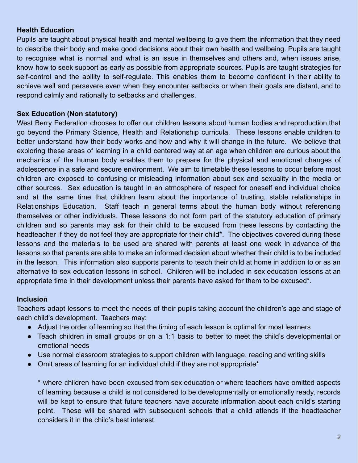#### **Health Education**

Pupils are taught about physical health and mental wellbeing to give them the information that they need to describe their body and make good decisions about their own health and wellbeing. Pupils are taught to recognise what is normal and what is an issue in themselves and others and, when issues arise, know how to seek support as early as possible from appropriate sources. Pupils are taught strategies for self-control and the ability to self-regulate. This enables them to become confident in their ability to achieve well and persevere even when they encounter setbacks or when their goals are distant, and to respond calmly and rationally to setbacks and challenges.

#### **Sex Education (Non statutory)**

West Berry Federation chooses to offer our children lessons about human bodies and reproduction that go beyond the Primary Science, Health and Relationship curricula. These lessons enable children to better understand how their body works and how and why it will change in the future. We believe that exploring these areas of learning in a child centered way at an age when children are curious about the mechanics of the human body enables them to prepare for the physical and emotional changes of adolescence in a safe and secure environment. We aim to timetable these lessons to occur before most children are exposed to confusing or misleading information about sex and sexuality in the media or other sources. Sex education is taught in an atmosphere of respect for oneself and individual choice and at the same time that children learn about the importance of trusting, stable relationships in Relationships Education. Staff teach in general terms about the human body without referencing themselves or other individuals. These lessons do not form part of the statutory education of primary children and so parents may ask for their child to be excused from these lessons by contacting the headteacher if they do not feel they are appropriate for their child\*. The objectives covered during these lessons and the materials to be used are shared with parents at least one week in advance of the lessons so that parents are able to make an informed decision about whether their child is to be included in the lesson. This information also supports parents to teach their child at home in addition to or as an alternative to sex education lessons in school. Children will be included in sex education lessons at an appropriate time in their development unless their parents have asked for them to be excused\*.

#### **Inclusion**

Teachers adapt lessons to meet the needs of their pupils taking account the children's age and stage of each child's development. Teachers may:

- Adjust the order of learning so that the timing of each lesson is optimal for most learners
- Teach children in small groups or on a 1:1 basis to better to meet the child's developmental or emotional needs
- Use normal classroom strategies to support children with language, reading and writing skills
- Omit areas of learning for an individual child if they are not appropriate\*

\* where children have been excused from sex education or where teachers have omitted aspects of learning because a child is not considered to be developmentally or emotionally ready, records will be kept to ensure that future teachers have accurate information about each child's starting point. These will be shared with subsequent schools that a child attends if the headteacher considers it in the child's best interest.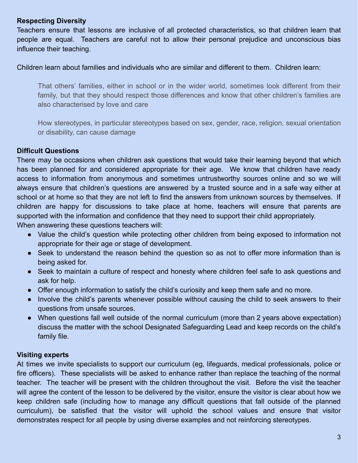#### **Respecting Diversity**

Teachers ensure that lessons are inclusive of all protected characteristics, so that children learn that people are equal. Teachers are careful not to allow their personal prejudice and unconscious bias influence their teaching.

Children learn about families and individuals who are similar and different to them. Children learn:

That others' families, either in school or in the wider world, sometimes look different from their family, but that they should respect those differences and know that other children's families are also characterised by love and care

How stereotypes, in particular stereotypes based on sex, gender, race, religion, sexual orientation or disability, can cause damage

#### **Difficult Questions**

There may be occasions when children ask questions that would take their learning beyond that which has been planned for and considered appropriate for their age. We know that children have ready access to information from anonymous and sometimes untrustworthy sources online and so we will always ensure that children's questions are answered by a trusted source and in a safe way either at school or at home so that they are not left to find the answers from unknown sources by themselves. If children are happy for discussions to take place at home, teachers will ensure that parents are supported with the information and confidence that they need to support their child appropriately. When answering these questions teachers will:

- Value the child's question while protecting other children from being exposed to information not appropriate for their age or stage of development.
- Seek to understand the reason behind the question so as not to offer more information than is being asked for.
- Seek to maintain a culture of respect and honesty where children feel safe to ask questions and ask for help.
- Offer enough information to satisfy the child's curiosity and keep them safe and no more.
- Involve the child's parents whenever possible without causing the child to seek answers to their questions from unsafe sources.
- When questions fall well outside of the normal curriculum (more than 2 years above expectation) discuss the matter with the school Designated Safeguarding Lead and keep records on the child's family file.

#### **Visiting experts**

At times we invite specialists to support our curriculum (eg, lifeguards, medical professionals, police or fire officers). These specialists will be asked to enhance rather than replace the teaching of the normal teacher. The teacher will be present with the children throughout the visit. Before the visit the teacher will agree the content of the lesson to be delivered by the visitor, ensure the visitor is clear about how we keep children safe (including how to manage any difficult questions that fall outside of the planned curriculum), be satisfied that the visitor will uphold the school values and ensure that visitor demonstrates respect for all people by using diverse examples and not reinforcing stereotypes.